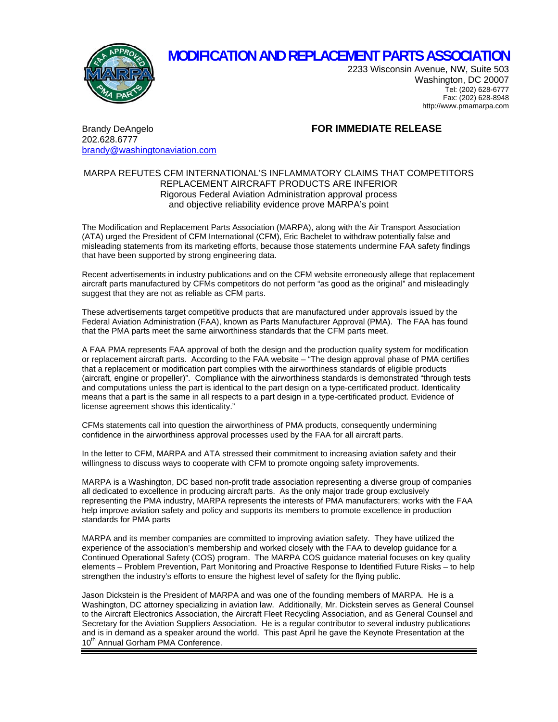

## **MODIFICATION AND REPLACEMENT PARTS ASSOCIATION**

2233 Wisconsin Avenue, NW, Suite 503 Washington, DC 20007 Tel: (202) 628-6777 Fax: (202) 628-8948 http://www.pmamarpa.com

Brandy DeAngelo **FOR IMMEDIATE RELEASE** 202.628.6777 [brandy@washingtonaviation.com](mailto:brandy@washingtonaviation.com)

## MARPA REFUTES CFM INTERNATIONAL'S INFLAMMATORY CLAIMS THAT COMPETITORS REPLACEMENT AIRCRAFT PRODUCTS ARE INFERIOR Rigorous Federal Aviation Administration approval process and objective reliability evidence prove MARPA's point

The Modification and Replacement Parts Association (MARPA), along with the Air Transport Association (ATA) urged the President of CFM International (CFM), Eric Bachelet to withdraw potentially false and misleading statements from its marketing efforts, because those statements undermine FAA safety findings that have been supported by strong engineering data.

Recent advertisements in industry publications and on the CFM website erroneously allege that replacement aircraft parts manufactured by CFMs competitors do not perform "as good as the original" and misleadingly suggest that they are not as reliable as CFM parts.

These advertisements target competitive products that are manufactured under approvals issued by the Federal Aviation Administration (FAA), known as Parts Manufacturer Approval (PMA). The FAA has found that the PMA parts meet the same airworthiness standards that the CFM parts meet.

A FAA PMA represents FAA approval of both the design and the production quality system for modification or replacement aircraft parts. According to the FAA website – "The design approval phase of PMA certifies that a replacement or modification part complies with the airworthiness standards of eligible products (aircraft, engine or propeller)". Compliance with the airworthiness standards is demonstrated "through tests and computations unless the part is identical to the part design on a type-certificated product. Identicality means that a part is the same in all respects to a part design in a type-certificated product. Evidence of license agreement shows this identicality."

CFMs statements call into question the airworthiness of PMA products, consequently undermining confidence in the airworthiness approval processes used by the FAA for all aircraft parts.

In the letter to CFM, MARPA and ATA stressed their commitment to increasing aviation safety and their willingness to discuss ways to cooperate with CFM to promote ongoing safety improvements.

MARPA is a Washington, DC based non-profit trade association representing a diverse group of companies all dedicated to excellence in producing aircraft parts. As the only major trade group exclusively representing the PMA industry, MARPA represents the interests of PMA manufacturers; works with the FAA help improve aviation safety and policy and supports its members to promote excellence in production standards for PMA parts

MARPA and its member companies are committed to improving aviation safety. They have utilized the experience of the association's membership and worked closely with the FAA to develop guidance for a Continued Operational Safety (COS) program. The MARPA COS guidance material focuses on key quality elements – Problem Prevention, Part Monitoring and Proactive Response to Identified Future Risks – to help strengthen the industry's efforts to ensure the highest level of safety for the flying public.

Jason Dickstein is the President of MARPA and was one of the founding members of MARPA. He is a Washington, DC attorney specializing in aviation law. Additionally, Mr. Dickstein serves as General Counsel to the Aircraft Electronics Association, the Aircraft Fleet Recycling Association, and as General Counsel and Secretary for the Aviation Suppliers Association. He is a regular contributor to several industry publications and is in demand as a speaker around the world. This past April he gave the Keynote Presentation at the 10<sup>th</sup> Annual Gorham PMA Conference.